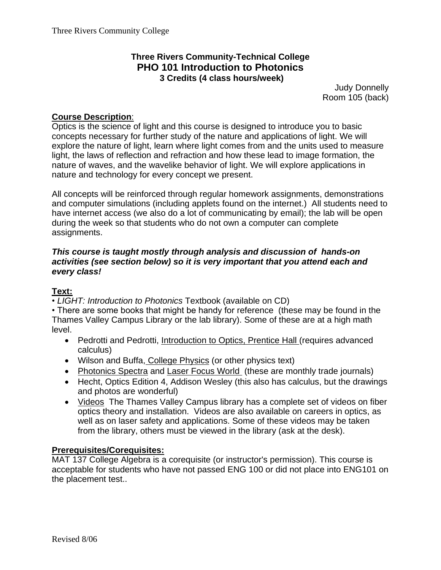### **Three Rivers Community-Technical College PHO 101 Introduction to Photonics 3 Credits (4 class hours/week)**

Judy Donnelly Room 105 (back)

## **Course Description**:

Optics is the science of light and this course is designed to introduce you to basic concepts necessary for further study of the nature and applications of light. We will explore the nature of light, learn where light comes from and the units used to measure light, the laws of reflection and refraction and how these lead to image formation, the nature of waves, and the wavelike behavior of light. We will explore applications in nature and technology for every concept we present.

All concepts will be reinforced through regular homework assignments, demonstrations and computer simulations (including applets found on the internet.) All students need to have internet access (we also do a lot of communicating by email); the lab will be open during the week so that students who do not own a computer can complete assignments.

#### *This course is taught mostly through analysis and discussion of hands-on activities (see section below) so it is very important that you attend each and every class!*

#### **Text:**

• *LIGHT: Introduction to Photonics* Textbook (available on CD)

• There are some books that might be handy for reference (these may be found in the Thames Valley Campus Library or the lab library). Some of these are at a high math level.

- Pedrotti and Pedrotti, Introduction to Optics, Prentice Hall (requires advanced calculus)
- Wilson and Buffa, College Physics (or other physics text)
- Photonics Spectra and Laser Focus World (these are monthly trade journals)
- Hecht, Optics Edition 4, Addison Wesley (this also has calculus, but the drawings and photos are wonderful)
- Videos The Thames Valley Campus library has a complete set of videos on fiber optics theory and installation. Videos are also available on careers in optics, as well as on laser safety and applications. Some of these videos may be taken from the library, others must be viewed in the library (ask at the desk).

#### **Prerequisites/Corequisites:**

MAT 137 College Algebra is a corequisite (or instructor's permission). This course is acceptable for students who have not passed ENG 100 or did not place into ENG101 on the placement test..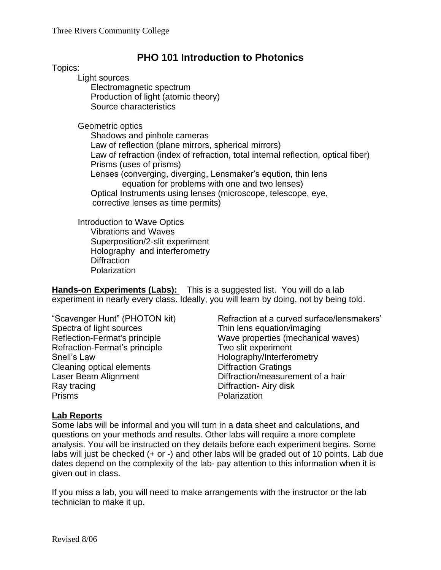# **PHO 101 Introduction to Photonics**

Topics:

Light sources Electromagnetic spectrum Production of light (atomic theory)

Source characteristics

Geometric optics

Shadows and pinhole cameras Law of reflection (plane mirrors, spherical mirrors) Law of refraction (index of refraction, total internal reflection, optical fiber) Prisms (uses of prisms) Lenses (converging, diverging, Lensmaker's eqution, thin lens equation for problems with one and two lenses) Optical Instruments using lenses (microscope, telescope, eye, corrective lenses as time permits)

Introduction to Wave Optics Vibrations and Waves Superposition/2-slit experiment Holography and interferometry **Diffraction Polarization** 

**Hands-on Experiments (Labs):** This is a suggested list. You will do a lab experiment in nearly every class. Ideally, you will learn by doing, not by being told.

Spectra of light sources Thin lens equation/imaging Refraction-Fermat's principle Two slit experiment Snell's Law **Snell's Law** Holography/Interferometry Cleaning optical elements Diffraction Gratings Ray tracing **Diffraction-** Airy disk Prisms Polarization

"Scavenger Hunt" (PHOTON kit) Refraction at a curved surface/lensmakers' Reflection-Fermat's principle Wave properties (mechanical waves) Laser Beam Alignment Diffraction/measurement of a hair

#### **Lab Reports**

Some labs will be informal and you will turn in a data sheet and calculations, and questions on your methods and results. Other labs will require a more complete analysis. You will be instructed on they details before each experiment begins. Some labs will just be checked (+ or -) and other labs will be graded out of 10 points. Lab due dates depend on the complexity of the lab- pay attention to this information when it is given out in class.

If you miss a lab, you will need to make arrangements with the instructor or the lab technician to make it up.